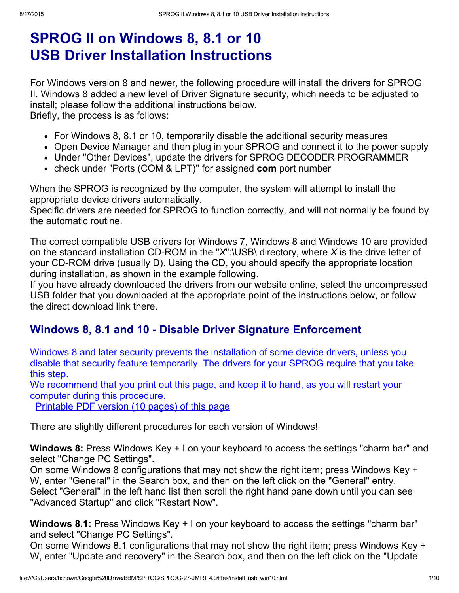# SPROG II on Windows 8, 8.1 or 10 USB Driver Installation Instructions

For Windows version 8 and newer, the following procedure will install the drivers for SPROG II. Windows 8 added a new level of Driver Signature security, which needs to be adjusted to install; please follow the additional instructions below. Briefly, the process is as follows:

- For Windows 8, 8.1 or 10, temporarily disable the additional security measures
- Open Device Manager and then plug in your SPROG and connect it to the power supply
- Under "Other Devices", update the drivers for SPROG DECODER PROGRAMMER
- check under "Ports (COM & LPT)" for assigned com port number

When the SPROG is recognized by the computer, the system will attempt to install the appropriate device drivers automatically.

Specific drivers are needed for SPROG to function correctly, and will not normally be found by the automatic routine.

The correct compatible USB drivers for Windows 7, Windows 8 and Windows 10 are provided on the standard installation CD-ROM in the " $X$ ":\USB\ directory, where  $X$  is the drive letter of your CD-ROM drive (usually D). Using the CD, you should specify the appropriate location during installation, as shown in the example following.

If you have already downloaded the drivers from our website online, select the uncompressed USB folder that you downloaded at the appropriate point of the instructions below, or follow the direct download link there.

### Windows 8, 8.1 and 10 - Disable Driver Signature Enforcement

Windows 8 and later security prevents the installation of some device drivers, unless you disable that security feature temporarily. The drivers for your SPROG require that you take this step.

We recommend that you print out this page, and keep it to hand, as you will restart your computer during this procedure.

[Printable](file:///C:/Users/bchown/Google%20Drive/BBM/SPROG/SPROG-27-JMRI_4.0/SPROGIIonW8-10.pdf) PDF version (10 pages) of this page

There are slightly different procedures for each version of Windows!

Windows 8: Press Windows Key + I on your keyboard to access the settings "charm bar" and select "Change PC Settings".

On some Windows 8 configurations that may not show the right item; press Windows Key + W, enter "General" in the Search box, and then on the left click on the "General" entry. Select "General" in the left hand list then scroll the right hand pane down until you can see "Advanced Startup" and click "Restart Now".

Windows 8.1: Press Windows Key + I on your keyboard to access the settings "charm bar" and select "Change PC Settings".

On some Windows 8.1 configurations that may not show the right item; press Windows Key + W, enter "Update and recovery" in the Search box, and then on the left click on the "Update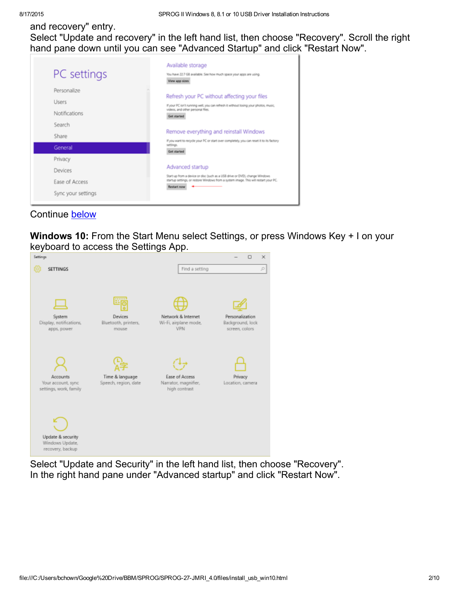### and recovery" entry.

Select "Update and recovery" in the left hand list, then choose "Recovery". Scroll the right hand pane down until you can see "Advanced Startup" and click "Restart Now".



### Continue below

Windows 10: From the Start Menu select Settings, or press Windows Key + I on your keyboard to access the Settings App.



Select "Update and Security" in the left hand list, then choose "Recovery". In the right hand pane under "Advanced startup" and click "Restart Now".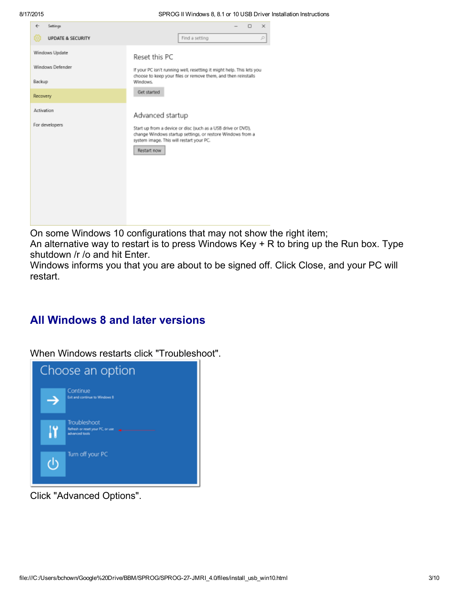#### 8/17/2015 SPROG II Windows 8, 8.1 or 10 USB Driver Installation Instructions

| ×<br>€<br>Settings<br>с<br>193<br>Find a setting<br>R<br><b>UPDATE &amp; SECURITY</b><br>Windows Update<br>Reset this PC<br>Windows Defender<br>If your PC isn't running well, resetting it might help. This lets you<br>choose to keep your files or remove them, and then reinstalls<br>Backup<br>Windows.<br>Get started<br>Recovery<br>Activation<br>Advanced startup<br>For developers<br>Start up from a device or disc (such as a USB drive or DVD),<br>change Windows startup settings, or restore Windows from a<br>system image. This will restart your PC.<br>Restart now | טו ט∠וי | <u>SEROG II WINGOWS 0, 0.1 OF TO OSD DITVEL IIISLANAI</u> |
|--------------------------------------------------------------------------------------------------------------------------------------------------------------------------------------------------------------------------------------------------------------------------------------------------------------------------------------------------------------------------------------------------------------------------------------------------------------------------------------------------------------------------------------------------------------------------------------|---------|-----------------------------------------------------------|
|                                                                                                                                                                                                                                                                                                                                                                                                                                                                                                                                                                                      |         |                                                           |
|                                                                                                                                                                                                                                                                                                                                                                                                                                                                                                                                                                                      |         |                                                           |
|                                                                                                                                                                                                                                                                                                                                                                                                                                                                                                                                                                                      |         |                                                           |
|                                                                                                                                                                                                                                                                                                                                                                                                                                                                                                                                                                                      |         |                                                           |
|                                                                                                                                                                                                                                                                                                                                                                                                                                                                                                                                                                                      |         |                                                           |
|                                                                                                                                                                                                                                                                                                                                                                                                                                                                                                                                                                                      |         |                                                           |
|                                                                                                                                                                                                                                                                                                                                                                                                                                                                                                                                                                                      |         |                                                           |
|                                                                                                                                                                                                                                                                                                                                                                                                                                                                                                                                                                                      |         |                                                           |
|                                                                                                                                                                                                                                                                                                                                                                                                                                                                                                                                                                                      |         |                                                           |
|                                                                                                                                                                                                                                                                                                                                                                                                                                                                                                                                                                                      |         |                                                           |
|                                                                                                                                                                                                                                                                                                                                                                                                                                                                                                                                                                                      |         |                                                           |

On some Windows 10 configurations that may not show the right item;

An alternative way to restart is to press Windows Key  $+ R$  to bring up the Run box. Type shutdown /r /o and hit Enter.

Windows informs you that you are about to be signed off. Click Close, and your PC will restart.

### All Windows 8 and later versions

When Windows restarts click "Troubleshoot".



Click "Advanced Options".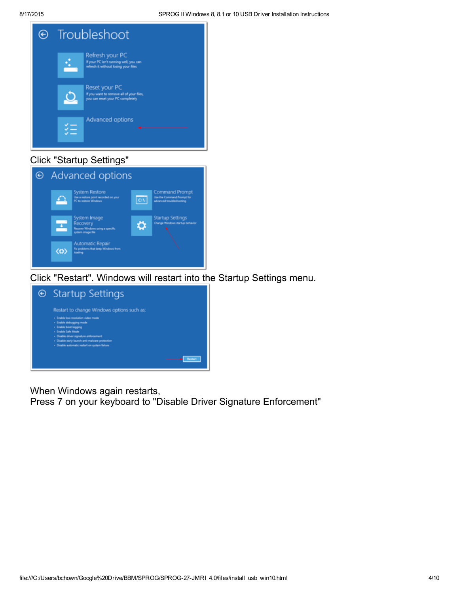

### Click "Startup Settings"



Click "Restart". Windows will restart into the Startup Settings menu.



When Windows again restarts,

Press 7 on your keyboard to "Disable Driver Signature Enforcement"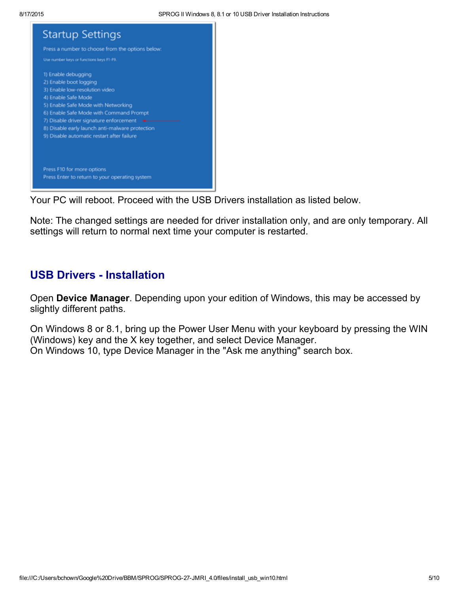

Your PC will reboot. Proceed with the USB Drivers installation as listed below.

Note: The changed settings are needed for driver installation only, and are only temporary. All settings will return to normal next time your computer is restarted.

### **USB Drivers - Installation**

Open Device Manager. Depending upon your edition of Windows, this may be accessed by slightly different paths.

On Windows 8 or 8.1, bring up the Power User Menu with your keyboard by pressing the WIN (Windows) key and the X key together, and select Device Manager. On Windows 10, type Device Manager in the "Ask me anything" search box.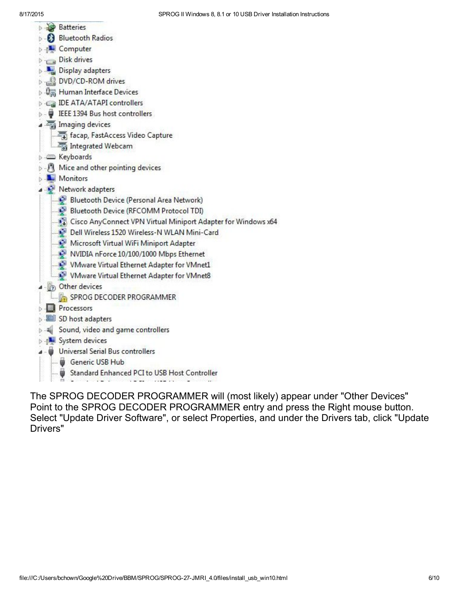| <b>Batteries</b>                                              |
|---------------------------------------------------------------|
| <b>Bluetooth Radios</b>                                       |
| <b>D</b> Computer                                             |
| Disk drives                                                   |
| Display adapters                                              |
| DVD/CD-ROM drives                                             |
| <b>De Um</b> Human Interface Devices                          |
| DE ATA/ATAPI controllers                                      |
| D . U IEEE 1394 Bus host controllers                          |
| 4 Imaging devices                                             |
| facap, FastAccess Video Capture                               |
| <b>Integrated Webcam</b>                                      |
| <b>Explored</b> Keyboards                                     |
| Mice and other pointing devices                               |
| Monitors                                                      |
| <b>A</b> Network adapters                                     |
| Bluetooth Device (Personal Area Network)                      |
| Bluetooth Device (RFCOMM Protocol TDI)                        |
| Cisco AnyConnect VPN Virtual Miniport Adapter for Windows x64 |
| Dell Wireless 1520 Wireless-N WLAN Mini-Card                  |
| Microsoft Virtual WiFi Miniport Adapter                       |
| NVIDIA nForce 10/100/1000 Mbps Ethernet                       |
| VMware Virtual Ethernet Adapter for VMnet1                    |
| WMware Virtual Ethernet Adapter for VMnet8                    |
| 4 De) Other devices                                           |
| SPROG DECODER PROGRAMMER                                      |
| <b>Processors</b>                                             |
| SD host adapters                                              |
| Sound, video and game controllers                             |
| <b>System devices</b>                                         |
| J. Universal Serial Bus controllers                           |
| Generic USB Hub                                               |
| Standard Enhanced PCI to USB Host Controller                  |
|                                                               |
|                                                               |

The SPROG DECODER PROGRAMMER will (most likely) appear under "Other Devices" Point to the SPROG DECODER PROGRAMMER entry and press the Right mouse button. Select "Update Driver Software", or select Properties, and under the Drivers tab, click "Update Drivers"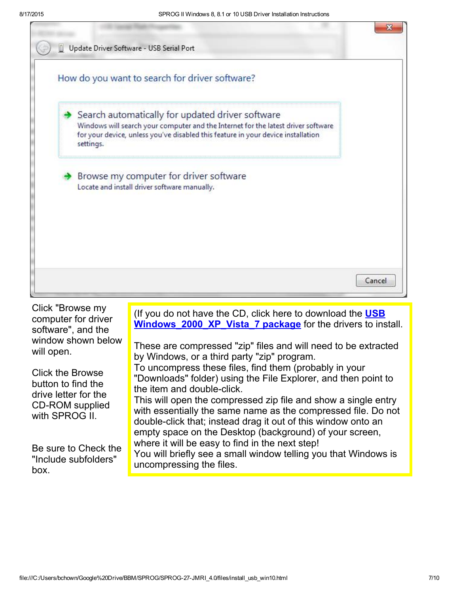| How do you want to search for driver software?                                                                                                                                                                                         |
|----------------------------------------------------------------------------------------------------------------------------------------------------------------------------------------------------------------------------------------|
| Search automatically for updated driver software<br>Windows will search your computer and the Internet for the latest driver software<br>for your device, unless you've disabled this feature in your device installation<br>settings. |
| Browse my computer for driver software<br>Locate and install driver software manually.                                                                                                                                                 |

Click "Browse my computer for driver software", and the window shown below will open.

Click the Browse button to find the drive letter for the CD-ROM supplied with SPROG II.

Be sure to Check the "Include subfolders" box.

(If you do not have the CD, click here to download the USB Windows 2000 XP Vista 7 package for the drivers to install.

These are compressed "zip" files and will need to be extracted by Windows, or a third party "zip" program.

To uncompress these files, find them (probably in your "Downloads" folder) using the File Explorer, and then point to the item and double-click.

This will open the compressed zip file and show a single entry with essentially the same name as the compressed file. Do not double-click that; instead drag it out of this window onto an empty space on the Desktop (background) of your screen, where it will be easy to find in the next step!

You will briefly see a small window telling you that Windows is uncompressing the files.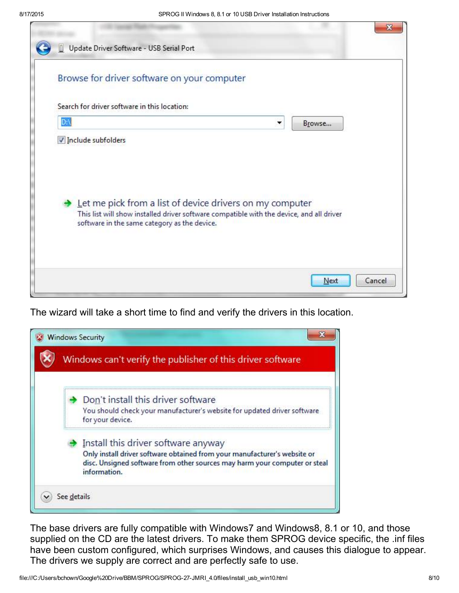|                                                                                                          | ×                                                                                        |
|----------------------------------------------------------------------------------------------------------|------------------------------------------------------------------------------------------|
| Update Driver Software - USB Serial Port                                                                 |                                                                                          |
| Browse for driver software on your computer                                                              |                                                                                          |
| Search for driver software in this location:                                                             |                                                                                          |
| D:\                                                                                                      | Browse                                                                                   |
| Include subfolders                                                                                       |                                                                                          |
| Let me pick from a list of device drivers on my computer<br>software in the same category as the device. | This list will show installed driver software compatible with the device, and all driver |
|                                                                                                          | Cancel<br>Next                                                                           |

The wizard will take a short time to find and verify the drivers in this location.

| Don't install this driver software                                                                                                                                      |
|-------------------------------------------------------------------------------------------------------------------------------------------------------------------------|
| You should check your manufacturer's website for updated driver software<br>for your device.                                                                            |
| Install this driver software anyway                                                                                                                                     |
| Only install driver software obtained from your manufacturer's website or<br>disc. Unsigned software from other sources may harm your computer or steal<br>information. |

The base drivers are fully compatible with Windows7 and Windows8, 8.1 or 10, and those supplied on the CD are the latest drivers. To make them SPROG device specific, the .inf files have been custom configured, which surprises Windows, and causes this dialogue to appear. The drivers we supply are correct and are perfectly safe to use.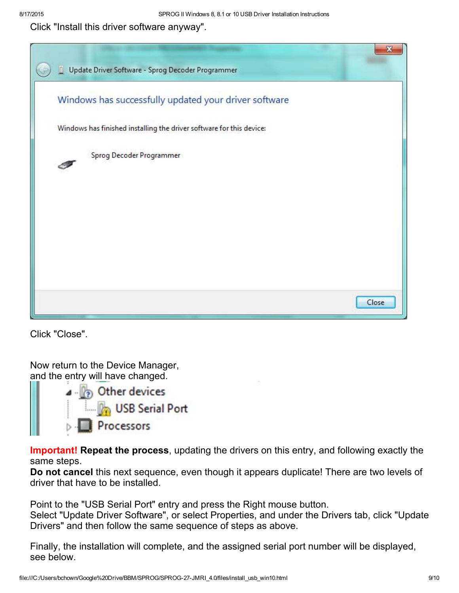Click "Install this driver software anyway".



Click "Close".

Now return to the Device Manager, and the entry will have changed.



**Important! Repeat the process**, updating the drivers on this entry, and following exactly the same steps.

Do not cancel this next sequence, even though it appears duplicate! There are two levels of driver that have to be installed.

Point to the "USB Serial Port" entry and press the Right mouse button. Select "Update Driver Software", or select Properties, and under the Drivers tab, click "Update Drivers" and then follow the same sequence of steps as above.

Finally, the installation will complete, and the assigned serial port number will be displayed, see below.